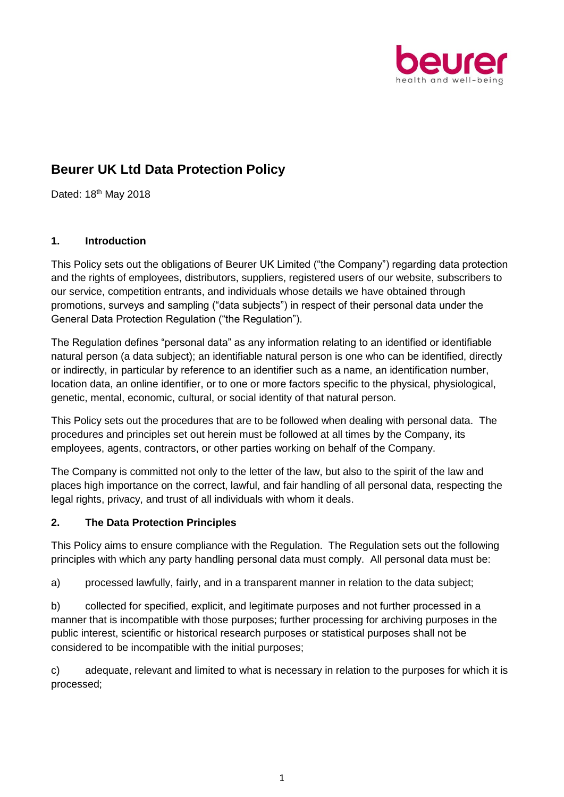

# **Beurer UK Ltd Data Protection Policy**

Dated: 18<sup>th</sup> May 2018

#### **1. Introduction**

This Policy sets out the obligations of Beurer UK Limited ("the Company") regarding data protection and the rights of employees, distributors, suppliers, registered users of our website, subscribers to our service, competition entrants, and individuals whose details we have obtained through promotions, surveys and sampling ("data subjects") in respect of their personal data under the General Data Protection Regulation ("the Regulation").

The Regulation defines "personal data" as any information relating to an identified or identifiable natural person (a data subject); an identifiable natural person is one who can be identified, directly or indirectly, in particular by reference to an identifier such as a name, an identification number, location data, an online identifier, or to one or more factors specific to the physical, physiological, genetic, mental, economic, cultural, or social identity of that natural person.

This Policy sets out the procedures that are to be followed when dealing with personal data. The procedures and principles set out herein must be followed at all times by the Company, its employees, agents, contractors, or other parties working on behalf of the Company.

The Company is committed not only to the letter of the law, but also to the spirit of the law and places high importance on the correct, lawful, and fair handling of all personal data, respecting the legal rights, privacy, and trust of all individuals with whom it deals.

#### **2. The Data Protection Principles**

This Policy aims to ensure compliance with the Regulation. The Regulation sets out the following principles with which any party handling personal data must comply. All personal data must be:

a) processed lawfully, fairly, and in a transparent manner in relation to the data subject;

b) collected for specified, explicit, and legitimate purposes and not further processed in a manner that is incompatible with those purposes; further processing for archiving purposes in the public interest, scientific or historical research purposes or statistical purposes shall not be considered to be incompatible with the initial purposes;

c) adequate, relevant and limited to what is necessary in relation to the purposes for which it is processed;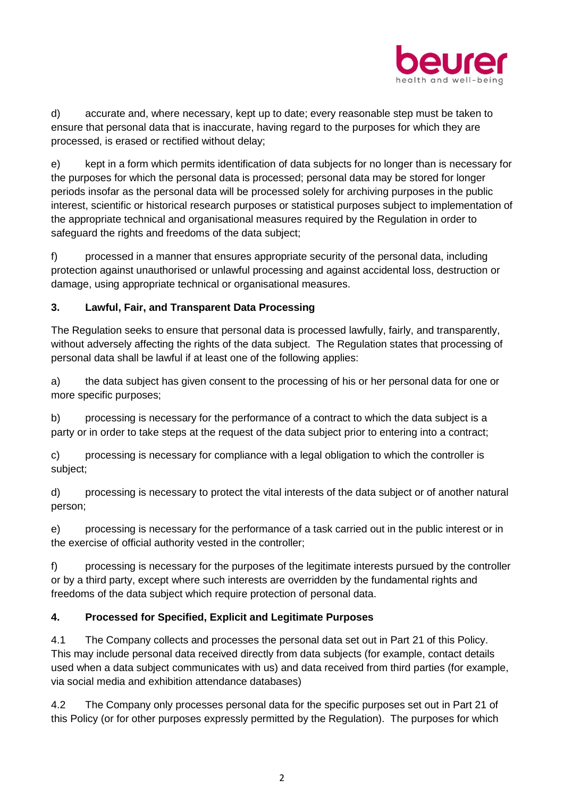

d) accurate and, where necessary, kept up to date; every reasonable step must be taken to ensure that personal data that is inaccurate, having regard to the purposes for which they are processed, is erased or rectified without delay;

e) kept in a form which permits identification of data subjects for no longer than is necessary for the purposes for which the personal data is processed; personal data may be stored for longer periods insofar as the personal data will be processed solely for archiving purposes in the public interest, scientific or historical research purposes or statistical purposes subject to implementation of the appropriate technical and organisational measures required by the Regulation in order to safeguard the rights and freedoms of the data subject;

f) processed in a manner that ensures appropriate security of the personal data, including protection against unauthorised or unlawful processing and against accidental loss, destruction or damage, using appropriate technical or organisational measures.

## **3. Lawful, Fair, and Transparent Data Processing**

The Regulation seeks to ensure that personal data is processed lawfully, fairly, and transparently, without adversely affecting the rights of the data subject. The Regulation states that processing of personal data shall be lawful if at least one of the following applies:

a) the data subject has given consent to the processing of his or her personal data for one or more specific purposes;

b) processing is necessary for the performance of a contract to which the data subject is a party or in order to take steps at the request of the data subject prior to entering into a contract;

c) processing is necessary for compliance with a legal obligation to which the controller is subject;

d) processing is necessary to protect the vital interests of the data subject or of another natural person;

e) processing is necessary for the performance of a task carried out in the public interest or in the exercise of official authority vested in the controller;

f) processing is necessary for the purposes of the legitimate interests pursued by the controller or by a third party, except where such interests are overridden by the fundamental rights and freedoms of the data subject which require protection of personal data.

## **4. Processed for Specified, Explicit and Legitimate Purposes**

4.1 The Company collects and processes the personal data set out in Part 21 of this Policy. This may include personal data received directly from data subjects (for example, contact details used when a data subject communicates with us) and data received from third parties (for example, via social media and exhibition attendance databases)

4.2 The Company only processes personal data for the specific purposes set out in Part 21 of this Policy (or for other purposes expressly permitted by the Regulation). The purposes for which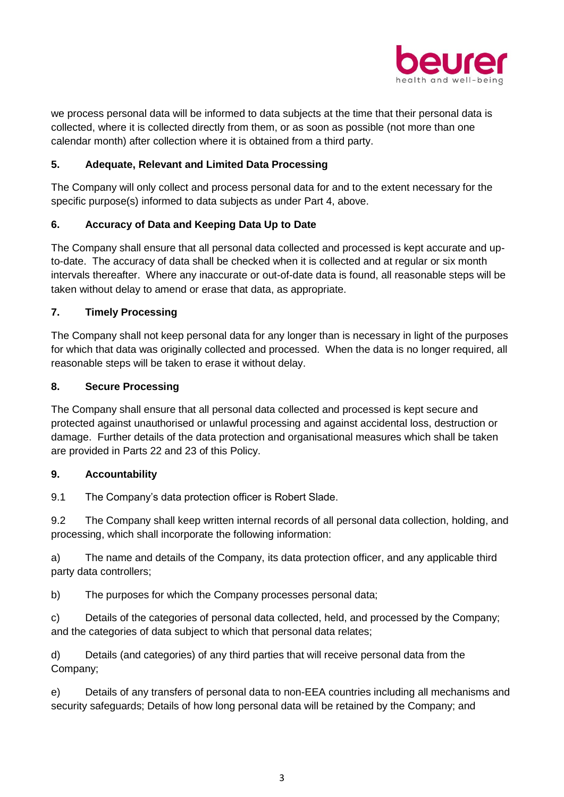

we process personal data will be informed to data subjects at the time that their personal data is collected, where it is collected directly from them, or as soon as possible (not more than one calendar month) after collection where it is obtained from a third party.

### **5. Adequate, Relevant and Limited Data Processing**

The Company will only collect and process personal data for and to the extent necessary for the specific purpose(s) informed to data subjects as under Part 4, above.

#### **6. Accuracy of Data and Keeping Data Up to Date**

The Company shall ensure that all personal data collected and processed is kept accurate and upto-date. The accuracy of data shall be checked when it is collected and at regular or six month intervals thereafter. Where any inaccurate or out-of-date data is found, all reasonable steps will be taken without delay to amend or erase that data, as appropriate.

#### **7. Timely Processing**

The Company shall not keep personal data for any longer than is necessary in light of the purposes for which that data was originally collected and processed. When the data is no longer required, all reasonable steps will be taken to erase it without delay.

#### **8. Secure Processing**

The Company shall ensure that all personal data collected and processed is kept secure and protected against unauthorised or unlawful processing and against accidental loss, destruction or damage. Further details of the data protection and organisational measures which shall be taken are provided in Parts 22 and 23 of this Policy.

#### **9. Accountability**

9.1 The Company's data protection officer is Robert Slade.

9.2 The Company shall keep written internal records of all personal data collection, holding, and processing, which shall incorporate the following information:

a) The name and details of the Company, its data protection officer, and any applicable third party data controllers;

b) The purposes for which the Company processes personal data;

c) Details of the categories of personal data collected, held, and processed by the Company; and the categories of data subject to which that personal data relates;

d) Details (and categories) of any third parties that will receive personal data from the Company;

e) Details of any transfers of personal data to non-EEA countries including all mechanisms and security safeguards; Details of how long personal data will be retained by the Company; and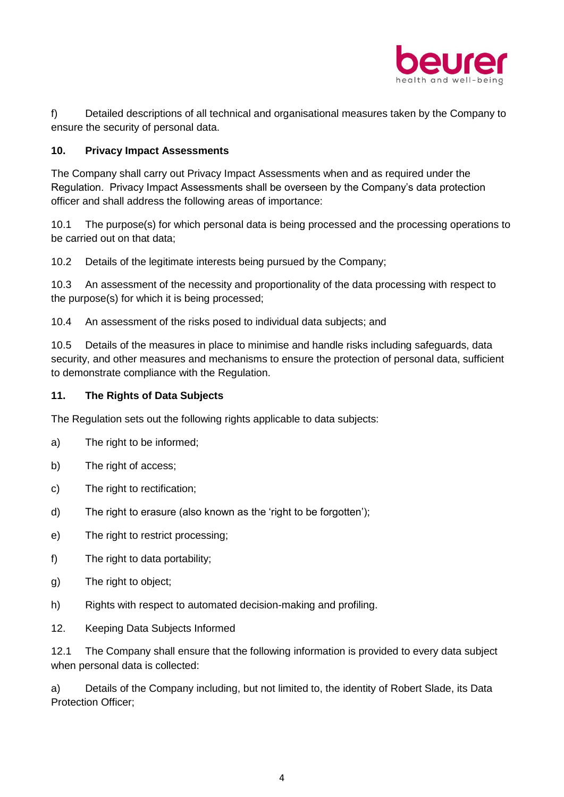

f) Detailed descriptions of all technical and organisational measures taken by the Company to ensure the security of personal data.

#### **10. Privacy Impact Assessments**

The Company shall carry out Privacy Impact Assessments when and as required under the Regulation. Privacy Impact Assessments shall be overseen by the Company's data protection officer and shall address the following areas of importance:

10.1 The purpose(s) for which personal data is being processed and the processing operations to be carried out on that data;

10.2 Details of the legitimate interests being pursued by the Company;

10.3 An assessment of the necessity and proportionality of the data processing with respect to the purpose(s) for which it is being processed;

10.4 An assessment of the risks posed to individual data subjects; and

10.5 Details of the measures in place to minimise and handle risks including safeguards, data security, and other measures and mechanisms to ensure the protection of personal data, sufficient to demonstrate compliance with the Regulation.

#### **11. The Rights of Data Subjects**

The Regulation sets out the following rights applicable to data subjects:

- a) The right to be informed:
- b) The right of access;
- c) The right to rectification;
- d) The right to erasure (also known as the 'right to be forgotten');
- e) The right to restrict processing:
- f) The right to data portability;
- g) The right to object;
- h) Rights with respect to automated decision-making and profiling.
- 12. Keeping Data Subjects Informed

12.1 The Company shall ensure that the following information is provided to every data subject when personal data is collected:

a) Details of the Company including, but not limited to, the identity of Robert Slade, its Data Protection Officer;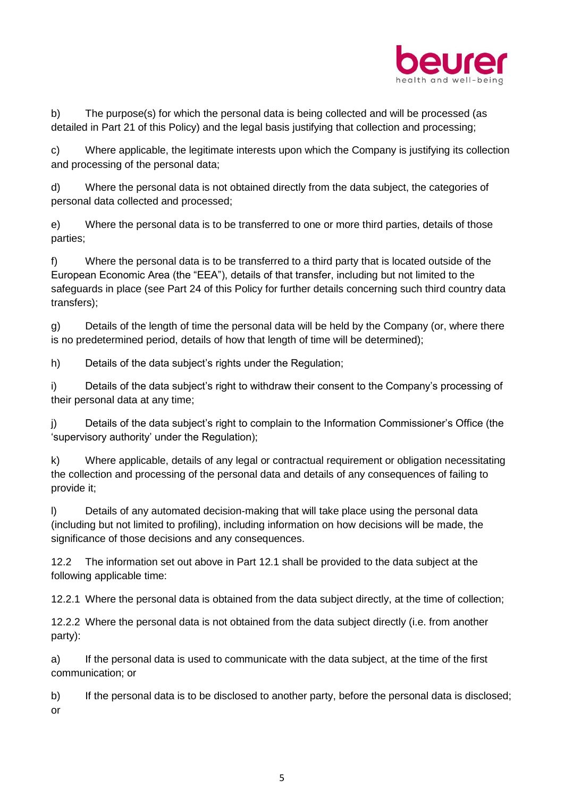

b) The purpose(s) for which the personal data is being collected and will be processed (as detailed in Part 21 of this Policy) and the legal basis justifying that collection and processing;

c) Where applicable, the legitimate interests upon which the Company is justifying its collection and processing of the personal data;

d) Where the personal data is not obtained directly from the data subject, the categories of personal data collected and processed;

e) Where the personal data is to be transferred to one or more third parties, details of those parties;

f) Where the personal data is to be transferred to a third party that is located outside of the European Economic Area (the "EEA"), details of that transfer, including but not limited to the safeguards in place (see Part 24 of this Policy for further details concerning such third country data transfers);

g) Details of the length of time the personal data will be held by the Company (or, where there is no predetermined period, details of how that length of time will be determined);

h) Details of the data subject's rights under the Regulation;

i) Details of the data subject's right to withdraw their consent to the Company's processing of their personal data at any time;

j) Details of the data subject's right to complain to the Information Commissioner's Office (the 'supervisory authority' under the Regulation);

k) Where applicable, details of any legal or contractual requirement or obligation necessitating the collection and processing of the personal data and details of any consequences of failing to provide it;

l) Details of any automated decision-making that will take place using the personal data (including but not limited to profiling), including information on how decisions will be made, the significance of those decisions and any consequences.

12.2 The information set out above in Part 12.1 shall be provided to the data subject at the following applicable time:

12.2.1 Where the personal data is obtained from the data subject directly, at the time of collection;

12.2.2 Where the personal data is not obtained from the data subject directly (i.e. from another party):

a) If the personal data is used to communicate with the data subject, at the time of the first communication; or

b) If the personal data is to be disclosed to another party, before the personal data is disclosed; or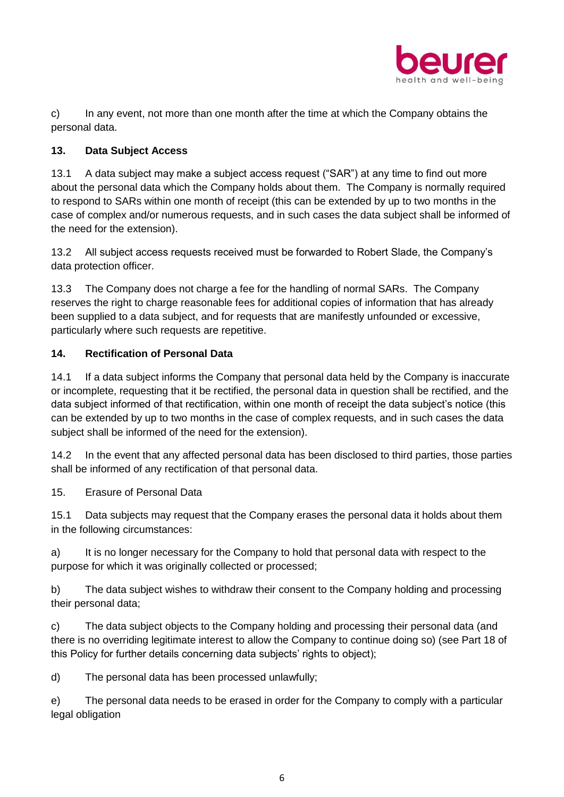

c) In any event, not more than one month after the time at which the Company obtains the personal data.

## **13. Data Subject Access**

13.1 A data subject may make a subject access request ("SAR") at any time to find out more about the personal data which the Company holds about them. The Company is normally required to respond to SARs within one month of receipt (this can be extended by up to two months in the case of complex and/or numerous requests, and in such cases the data subject shall be informed of the need for the extension).

13.2 All subject access requests received must be forwarded to Robert Slade, the Company's data protection officer.

13.3 The Company does not charge a fee for the handling of normal SARs. The Company reserves the right to charge reasonable fees for additional copies of information that has already been supplied to a data subject, and for requests that are manifestly unfounded or excessive, particularly where such requests are repetitive.

#### **14. Rectification of Personal Data**

14.1 If a data subject informs the Company that personal data held by the Company is inaccurate or incomplete, requesting that it be rectified, the personal data in question shall be rectified, and the data subject informed of that rectification, within one month of receipt the data subject's notice (this can be extended by up to two months in the case of complex requests, and in such cases the data subject shall be informed of the need for the extension).

14.2 In the event that any affected personal data has been disclosed to third parties, those parties shall be informed of any rectification of that personal data.

15. Erasure of Personal Data

15.1 Data subjects may request that the Company erases the personal data it holds about them in the following circumstances:

a) It is no longer necessary for the Company to hold that personal data with respect to the purpose for which it was originally collected or processed;

b) The data subject wishes to withdraw their consent to the Company holding and processing their personal data;

c) The data subject objects to the Company holding and processing their personal data (and there is no overriding legitimate interest to allow the Company to continue doing so) (see Part 18 of this Policy for further details concerning data subjects' rights to object);

d) The personal data has been processed unlawfully;

e) The personal data needs to be erased in order for the Company to comply with a particular legal obligation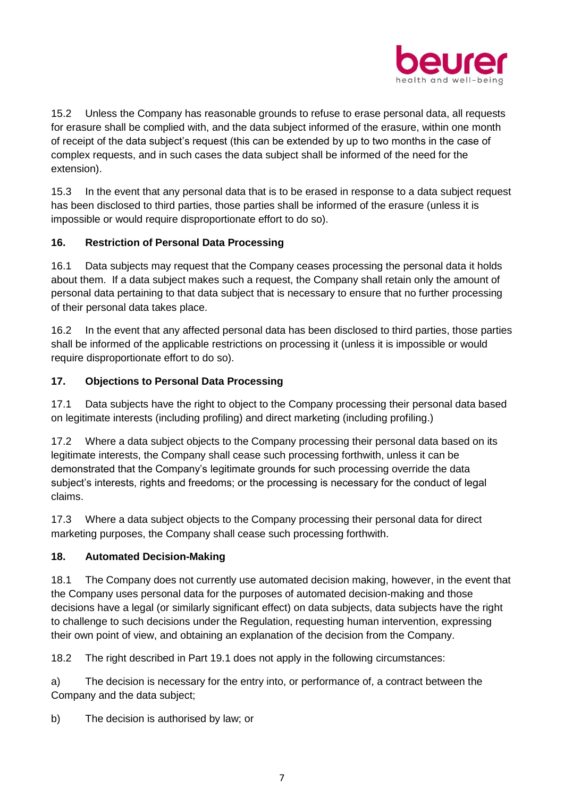

15.2 Unless the Company has reasonable grounds to refuse to erase personal data, all requests for erasure shall be complied with, and the data subject informed of the erasure, within one month of receipt of the data subject's request (this can be extended by up to two months in the case of complex requests, and in such cases the data subject shall be informed of the need for the extension).

15.3 In the event that any personal data that is to be erased in response to a data subject request has been disclosed to third parties, those parties shall be informed of the erasure (unless it is impossible or would require disproportionate effort to do so).

## **16. Restriction of Personal Data Processing**

16.1 Data subjects may request that the Company ceases processing the personal data it holds about them. If a data subject makes such a request, the Company shall retain only the amount of personal data pertaining to that data subject that is necessary to ensure that no further processing of their personal data takes place.

16.2 In the event that any affected personal data has been disclosed to third parties, those parties shall be informed of the applicable restrictions on processing it (unless it is impossible or would require disproportionate effort to do so).

## **17. Objections to Personal Data Processing**

17.1 Data subjects have the right to object to the Company processing their personal data based on legitimate interests (including profiling) and direct marketing (including profiling.)

17.2 Where a data subject objects to the Company processing their personal data based on its legitimate interests, the Company shall cease such processing forthwith, unless it can be demonstrated that the Company's legitimate grounds for such processing override the data subject's interests, rights and freedoms; or the processing is necessary for the conduct of legal claims.

17.3 Where a data subject objects to the Company processing their personal data for direct marketing purposes, the Company shall cease such processing forthwith.

#### **18. Automated Decision-Making**

18.1 The Company does not currently use automated decision making, however, in the event that the Company uses personal data for the purposes of automated decision-making and those decisions have a legal (or similarly significant effect) on data subjects, data subjects have the right to challenge to such decisions under the Regulation, requesting human intervention, expressing their own point of view, and obtaining an explanation of the decision from the Company.

18.2 The right described in Part 19.1 does not apply in the following circumstances:

a) The decision is necessary for the entry into, or performance of, a contract between the Company and the data subject;

b) The decision is authorised by law; or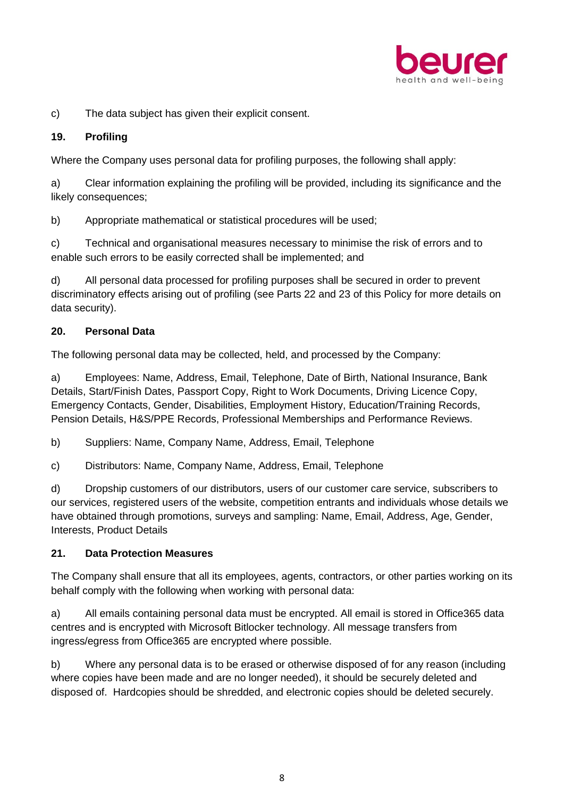

c) The data subject has given their explicit consent.

#### **19. Profiling**

Where the Company uses personal data for profiling purposes, the following shall apply:

a) Clear information explaining the profiling will be provided, including its significance and the likely consequences;

b) Appropriate mathematical or statistical procedures will be used;

c) Technical and organisational measures necessary to minimise the risk of errors and to enable such errors to be easily corrected shall be implemented; and

d) All personal data processed for profiling purposes shall be secured in order to prevent discriminatory effects arising out of profiling (see Parts 22 and 23 of this Policy for more details on data security).

## **20. Personal Data**

The following personal data may be collected, held, and processed by the Company:

a) Employees: Name, Address, Email, Telephone, Date of Birth, National Insurance, Bank Details, Start/Finish Dates, Passport Copy, Right to Work Documents, Driving Licence Copy, Emergency Contacts, Gender, Disabilities, Employment History, Education/Training Records, Pension Details, H&S/PPE Records, Professional Memberships and Performance Reviews.

b) Suppliers: Name, Company Name, Address, Email, Telephone

c) Distributors: Name, Company Name, Address, Email, Telephone

d) Dropship customers of our distributors, users of our customer care service, subscribers to our services, registered users of the website, competition entrants and individuals whose details we have obtained through promotions, surveys and sampling: Name, Email, Address, Age, Gender, Interests, Product Details

#### **21. Data Protection Measures**

The Company shall ensure that all its employees, agents, contractors, or other parties working on its behalf comply with the following when working with personal data:

a) All emails containing personal data must be encrypted. All email is stored in Office365 data centres and is encrypted with Microsoft Bitlocker technology. All message transfers from ingress/egress from Office365 are encrypted where possible.

b) Where any personal data is to be erased or otherwise disposed of for any reason (including where copies have been made and are no longer needed), it should be securely deleted and disposed of. Hardcopies should be shredded, and electronic copies should be deleted securely.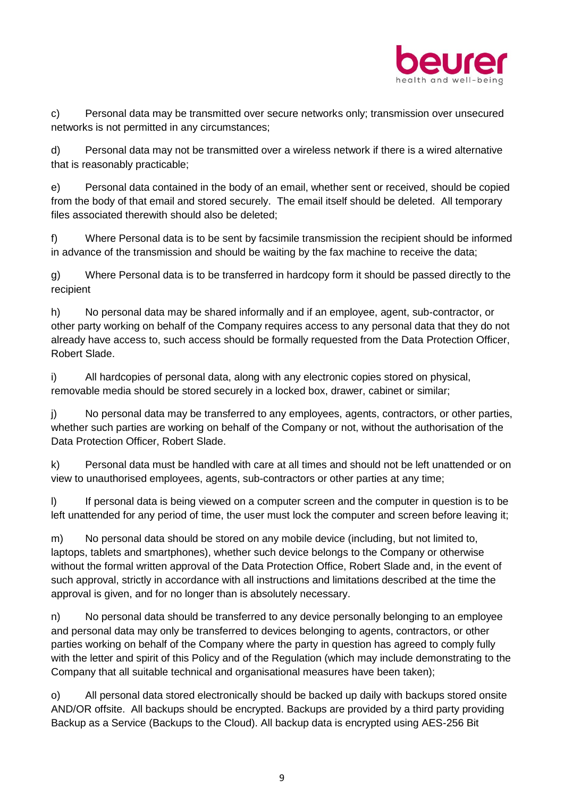

c) Personal data may be transmitted over secure networks only; transmission over unsecured networks is not permitted in any circumstances;

d) Personal data may not be transmitted over a wireless network if there is a wired alternative that is reasonably practicable;

e) Personal data contained in the body of an email, whether sent or received, should be copied from the body of that email and stored securely. The email itself should be deleted. All temporary files associated therewith should also be deleted;

f) Where Personal data is to be sent by facsimile transmission the recipient should be informed in advance of the transmission and should be waiting by the fax machine to receive the data;

g) Where Personal data is to be transferred in hardcopy form it should be passed directly to the recipient

h) No personal data may be shared informally and if an employee, agent, sub-contractor, or other party working on behalf of the Company requires access to any personal data that they do not already have access to, such access should be formally requested from the Data Protection Officer, Robert Slade.

i) All hardcopies of personal data, along with any electronic copies stored on physical, removable media should be stored securely in a locked box, drawer, cabinet or similar;

j) No personal data may be transferred to any employees, agents, contractors, or other parties, whether such parties are working on behalf of the Company or not, without the authorisation of the Data Protection Officer, Robert Slade.

k) Personal data must be handled with care at all times and should not be left unattended or on view to unauthorised employees, agents, sub-contractors or other parties at any time;

I) If personal data is being viewed on a computer screen and the computer in question is to be left unattended for any period of time, the user must lock the computer and screen before leaving it;

m) No personal data should be stored on any mobile device (including, but not limited to, laptops, tablets and smartphones), whether such device belongs to the Company or otherwise without the formal written approval of the Data Protection Office, Robert Slade and, in the event of such approval, strictly in accordance with all instructions and limitations described at the time the approval is given, and for no longer than is absolutely necessary.

n) No personal data should be transferred to any device personally belonging to an employee and personal data may only be transferred to devices belonging to agents, contractors, or other parties working on behalf of the Company where the party in question has agreed to comply fully with the letter and spirit of this Policy and of the Regulation (which may include demonstrating to the Company that all suitable technical and organisational measures have been taken);

o) All personal data stored electronically should be backed up daily with backups stored onsite AND/OR offsite. All backups should be encrypted. Backups are provided by a third party providing Backup as a Service (Backups to the Cloud). All backup data is encrypted using AES-256 Bit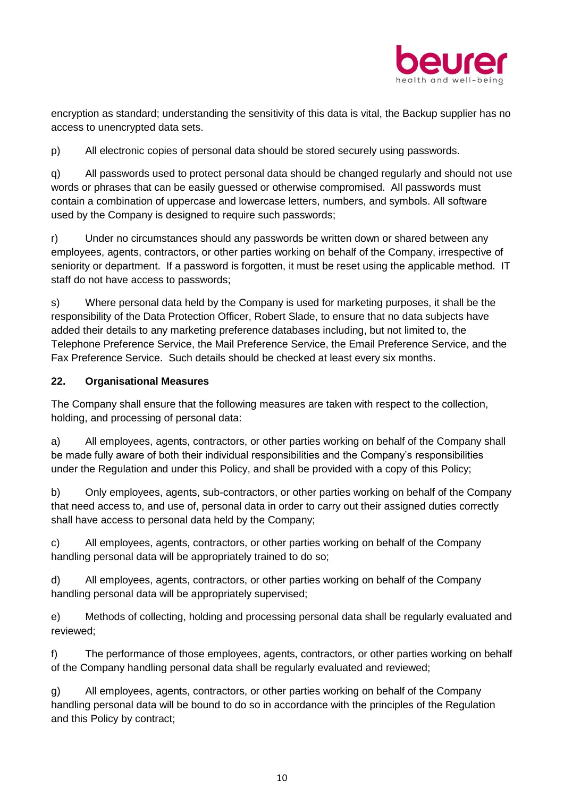

encryption as standard; understanding the sensitivity of this data is vital, the Backup supplier has no access to unencrypted data sets.

p) All electronic copies of personal data should be stored securely using passwords.

q) All passwords used to protect personal data should be changed regularly and should not use words or phrases that can be easily guessed or otherwise compromised. All passwords must contain a combination of uppercase and lowercase letters, numbers, and symbols. All software used by the Company is designed to require such passwords;

r) Under no circumstances should any passwords be written down or shared between any employees, agents, contractors, or other parties working on behalf of the Company, irrespective of seniority or department. If a password is forgotten, it must be reset using the applicable method. IT staff do not have access to passwords;

s) Where personal data held by the Company is used for marketing purposes, it shall be the responsibility of the Data Protection Officer, Robert Slade, to ensure that no data subjects have added their details to any marketing preference databases including, but not limited to, the Telephone Preference Service, the Mail Preference Service, the Email Preference Service, and the Fax Preference Service. Such details should be checked at least every six months.

#### **22. Organisational Measures**

The Company shall ensure that the following measures are taken with respect to the collection, holding, and processing of personal data:

a) All employees, agents, contractors, or other parties working on behalf of the Company shall be made fully aware of both their individual responsibilities and the Company's responsibilities under the Regulation and under this Policy, and shall be provided with a copy of this Policy;

b) Only employees, agents, sub-contractors, or other parties working on behalf of the Company that need access to, and use of, personal data in order to carry out their assigned duties correctly shall have access to personal data held by the Company;

c) All employees, agents, contractors, or other parties working on behalf of the Company handling personal data will be appropriately trained to do so;

d) All employees, agents, contractors, or other parties working on behalf of the Company handling personal data will be appropriately supervised;

e) Methods of collecting, holding and processing personal data shall be regularly evaluated and reviewed;

f) The performance of those employees, agents, contractors, or other parties working on behalf of the Company handling personal data shall be regularly evaluated and reviewed;

g) All employees, agents, contractors, or other parties working on behalf of the Company handling personal data will be bound to do so in accordance with the principles of the Regulation and this Policy by contract;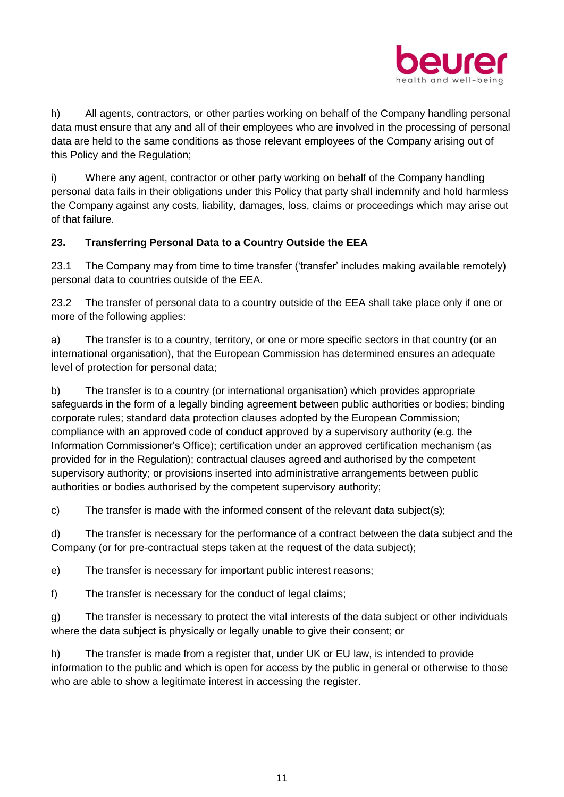

h) All agents, contractors, or other parties working on behalf of the Company handling personal data must ensure that any and all of their employees who are involved in the processing of personal data are held to the same conditions as those relevant employees of the Company arising out of this Policy and the Regulation;

i) Where any agent, contractor or other party working on behalf of the Company handling personal data fails in their obligations under this Policy that party shall indemnify and hold harmless the Company against any costs, liability, damages, loss, claims or proceedings which may arise out of that failure.

## **23. Transferring Personal Data to a Country Outside the EEA**

23.1 The Company may from time to time transfer ('transfer' includes making available remotely) personal data to countries outside of the EEA.

23.2 The transfer of personal data to a country outside of the EEA shall take place only if one or more of the following applies:

a) The transfer is to a country, territory, or one or more specific sectors in that country (or an international organisation), that the European Commission has determined ensures an adequate level of protection for personal data;

b) The transfer is to a country (or international organisation) which provides appropriate safeguards in the form of a legally binding agreement between public authorities or bodies; binding corporate rules; standard data protection clauses adopted by the European Commission; compliance with an approved code of conduct approved by a supervisory authority (e.g. the Information Commissioner's Office); certification under an approved certification mechanism (as provided for in the Regulation); contractual clauses agreed and authorised by the competent supervisory authority; or provisions inserted into administrative arrangements between public authorities or bodies authorised by the competent supervisory authority;

c) The transfer is made with the informed consent of the relevant data subject(s);

d) The transfer is necessary for the performance of a contract between the data subject and the Company (or for pre-contractual steps taken at the request of the data subject);

e) The transfer is necessary for important public interest reasons;

f) The transfer is necessary for the conduct of legal claims;

g) The transfer is necessary to protect the vital interests of the data subject or other individuals where the data subject is physically or legally unable to give their consent; or

h) The transfer is made from a register that, under UK or EU law, is intended to provide information to the public and which is open for access by the public in general or otherwise to those who are able to show a legitimate interest in accessing the register.